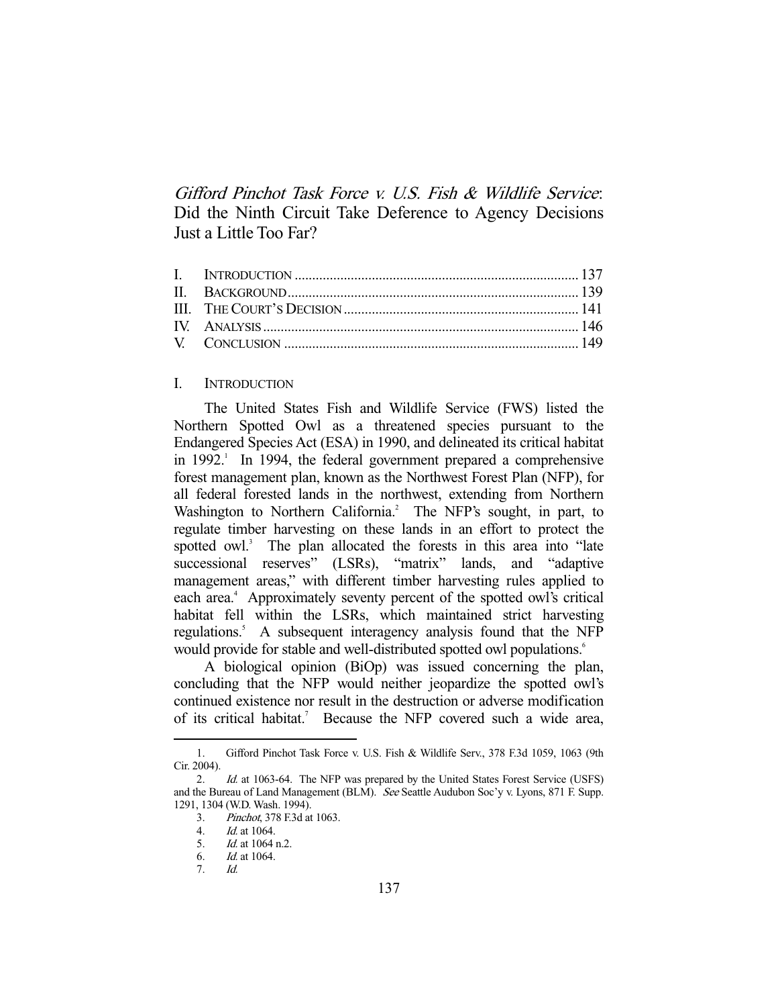Gifford Pinchot Task Force v. U.S. Fish & Wildlife Service: Did the Ninth Circuit Take Deference to Agency Decisions Just a Little Too Far?

# I. INTRODUCTION

The United States Fish and Wildlife Service (FWS) listed the Northern Spotted Owl as a threatened species pursuant to the Endangered Species Act (ESA) in 1990, and delineated its critical habitat in 1992.<sup>1</sup> In 1994, the federal government prepared a comprehensive forest management plan, known as the Northwest Forest Plan (NFP), for all federal forested lands in the northwest, extending from Northern Washington to Northern California.<sup>2</sup> The NFP's sought, in part, to regulate timber harvesting on these lands in an effort to protect the spotted owl.<sup>3</sup> The plan allocated the forests in this area into "late successional reserves" (LSRs), "matrix" lands, and "adaptive management areas," with different timber harvesting rules applied to each area.<sup>4</sup> Approximately seventy percent of the spotted owl's critical habitat fell within the LSRs, which maintained strict harvesting regulations.<sup>5</sup> A subsequent interagency analysis found that the NFP would provide for stable and well-distributed spotted owl populations.<sup>6</sup>

 A biological opinion (BiOp) was issued concerning the plan, concluding that the NFP would neither jeopardize the spotted owl's continued existence nor result in the destruction or adverse modification of its critical habitat.<sup>7</sup> Because the NFP covered such a wide area,

 <sup>1.</sup> Gifford Pinchot Task Force v. U.S. Fish & Wildlife Serv., 378 F.3d 1059, 1063 (9th Cir. 2004).

<sup>2.</sup> *Id.* at 1063-64. The NFP was prepared by the United States Forest Service (USFS) and the Bureau of Land Management (BLM). See Seattle Audubon Soc'y v. Lyons, 871 F. Supp. 1291, 1304 (W.D. Wash. 1994).

<sup>3.</sup> *Pinchot*, 378 F.3d at 1063.<br>4. *Id.* at 1064.

<sup>4.</sup> *Id.* at 1064.<br>5. *Id.* at 1064

 $Id.$  at 1064 n.2.

 <sup>6.</sup> Id. at 1064.

 <sup>7.</sup> Id.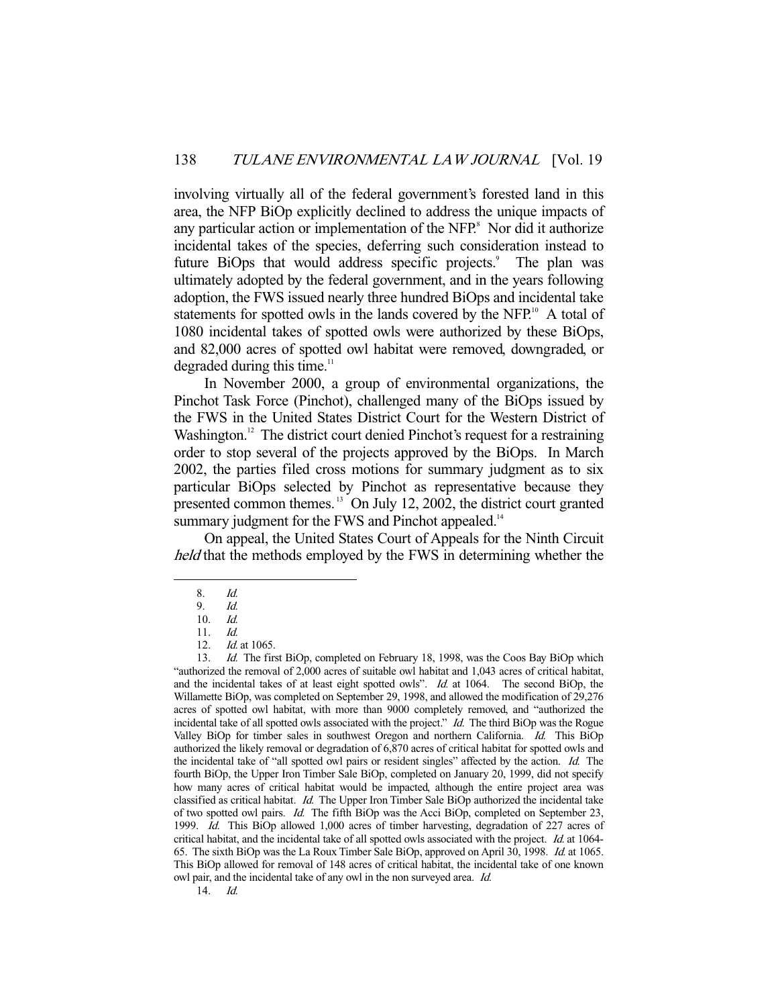involving virtually all of the federal government's forested land in this area, the NFP BiOp explicitly declined to address the unique impacts of any particular action or implementation of the NFP.<sup>8</sup> Nor did it authorize incidental takes of the species, deferring such consideration instead to future BiOps that would address specific projects.<sup>9</sup> The plan was ultimately adopted by the federal government, and in the years following adoption, the FWS issued nearly three hundred BiOps and incidental take statements for spotted owls in the lands covered by the NFP.<sup>10</sup> A total of 1080 incidental takes of spotted owls were authorized by these BiOps, and 82,000 acres of spotted owl habitat were removed, downgraded, or degraded during this time.<sup>11</sup>

 In November 2000, a group of environmental organizations, the Pinchot Task Force (Pinchot), challenged many of the BiOps issued by the FWS in the United States District Court for the Western District of Washington.<sup>12</sup> The district court denied Pinchot's request for a restraining order to stop several of the projects approved by the BiOps. In March 2002, the parties filed cross motions for summary judgment as to six particular BiOps selected by Pinchot as representative because they presented common themes. 13 On July 12, 2002, the district court granted summary judgment for the FWS and Pinchot appealed.<sup>14</sup>

 On appeal, the United States Court of Appeals for the Ninth Circuit held that the methods employed by the FWS in determining whether the

 <sup>8.</sup> Id.

 <sup>9.</sup> Id.

 <sup>10.</sup> Id. 11. Id.

<sup>12.</sup> *Id.* at 1065.

<sup>13.</sup> Id. The first BiOp, completed on February 18, 1998, was the Coos Bay BiOp which "authorized the removal of 2,000 acres of suitable owl habitat and 1,043 acres of critical habitat, and the incidental takes of at least eight spotted owls". Id. at 1064. The second BiOp, the Willamette BiOp, was completed on September 29, 1998, and allowed the modification of 29,276 acres of spotted owl habitat, with more than 9000 completely removed, and "authorized the incidental take of all spotted owls associated with the project."  $Id$ . The third BiOp was the Rogue Valley BiOp for timber sales in southwest Oregon and northern California. Id. This BiOp authorized the likely removal or degradation of 6,870 acres of critical habitat for spotted owls and the incidental take of "all spotted owl pairs or resident singles" affected by the action. Id. The fourth BiOp, the Upper Iron Timber Sale BiOp, completed on January 20, 1999, did not specify how many acres of critical habitat would be impacted, although the entire project area was classified as critical habitat. Id. The Upper Iron Timber Sale BiOp authorized the incidental take of two spotted owl pairs. Id. The fifth BiOp was the Acci BiOp, completed on September 23, 1999. Id. This BiOp allowed 1,000 acres of timber harvesting, degradation of 227 acres of critical habitat, and the incidental take of all spotted owls associated with the project. Id. at 1064- 65. The sixth BiOp was the La Roux Timber Sale BiOp, approved on April 30, 1998. Id. at 1065. This BiOp allowed for removal of 148 acres of critical habitat, the incidental take of one known owl pair, and the incidental take of any owl in the non surveyed area. Id.

 <sup>14.</sup> Id.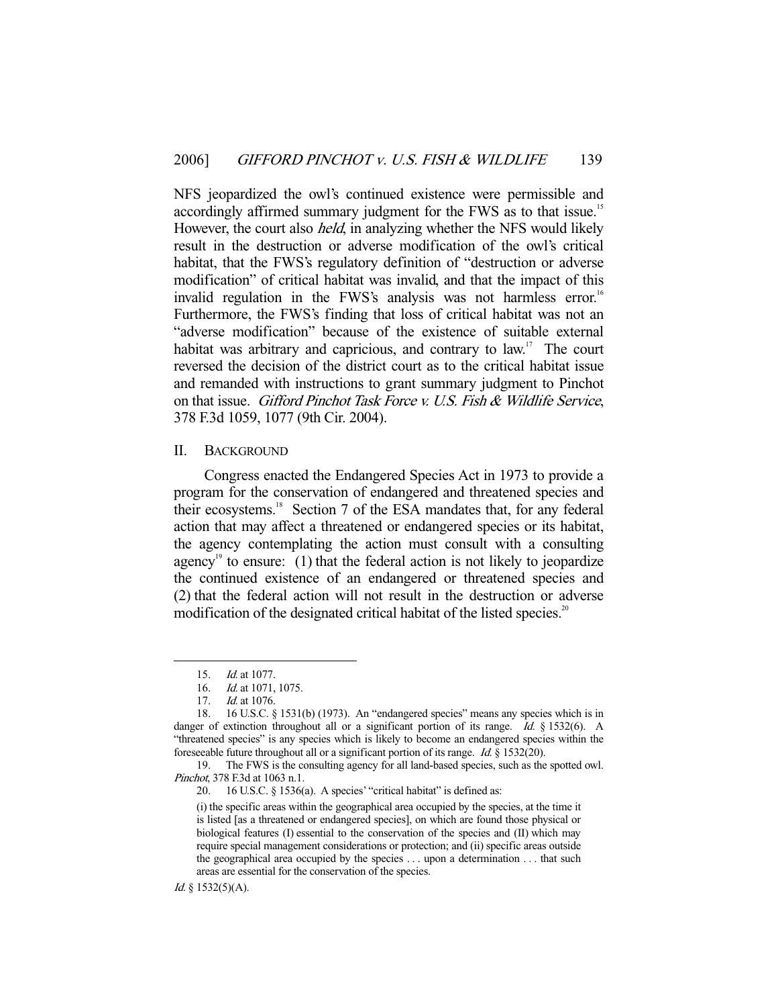NFS jeopardized the owl's continued existence were permissible and accordingly affirmed summary judgment for the FWS as to that issue.<sup>15</sup> However, the court also *held*, in analyzing whether the NFS would likely result in the destruction or adverse modification of the owl's critical habitat, that the FWS's regulatory definition of "destruction or adverse modification" of critical habitat was invalid, and that the impact of this invalid regulation in the FWS's analysis was not harmless error.<sup>16</sup> Furthermore, the FWS's finding that loss of critical habitat was not an "adverse modification" because of the existence of suitable external habitat was arbitrary and capricious, and contrary to law.<sup>17</sup> The court reversed the decision of the district court as to the critical habitat issue and remanded with instructions to grant summary judgment to Pinchot on that issue. Gifford Pinchot Task Force v. U.S. Fish & Wildlife Service, 378 F.3d 1059, 1077 (9th Cir. 2004).

#### II. BACKGROUND

 Congress enacted the Endangered Species Act in 1973 to provide a program for the conservation of endangered and threatened species and their ecosystems.18 Section 7 of the ESA mandates that, for any federal action that may affect a threatened or endangered species or its habitat, the agency contemplating the action must consult with a consulting agency<sup>19</sup> to ensure: (1) that the federal action is not likely to jeopardize the continued existence of an endangered or threatened species and (2) that the federal action will not result in the destruction or adverse modification of the designated critical habitat of the listed species.<sup>20</sup>

 <sup>15.</sup> Id. at 1077.

 <sup>16.</sup> Id. at 1071, 1075.

<sup>17.</sup> *Id.* at 1076.

 <sup>18. 16</sup> U.S.C. § 1531(b) (1973). An "endangered species" means any species which is in danger of extinction throughout all or a significant portion of its range. Id. § 1532(6). A "threatened species" is any species which is likely to become an endangered species within the foreseeable future throughout all or a significant portion of its range. Id. § 1532(20).

 <sup>19.</sup> The FWS is the consulting agency for all land-based species, such as the spotted owl. Pinchot, 378 F.3d at 1063 n.1.

 <sup>20. 16</sup> U.S.C. § 1536(a). A species' "critical habitat" is defined as:

<sup>(</sup>i) the specific areas within the geographical area occupied by the species, at the time it is listed [as a threatened or endangered species], on which are found those physical or biological features (I) essential to the conservation of the species and (II) which may require special management considerations or protection; and (ii) specific areas outside the geographical area occupied by the species . . . upon a determination . . . that such areas are essential for the conservation of the species.

Id. § 1532(5)(A).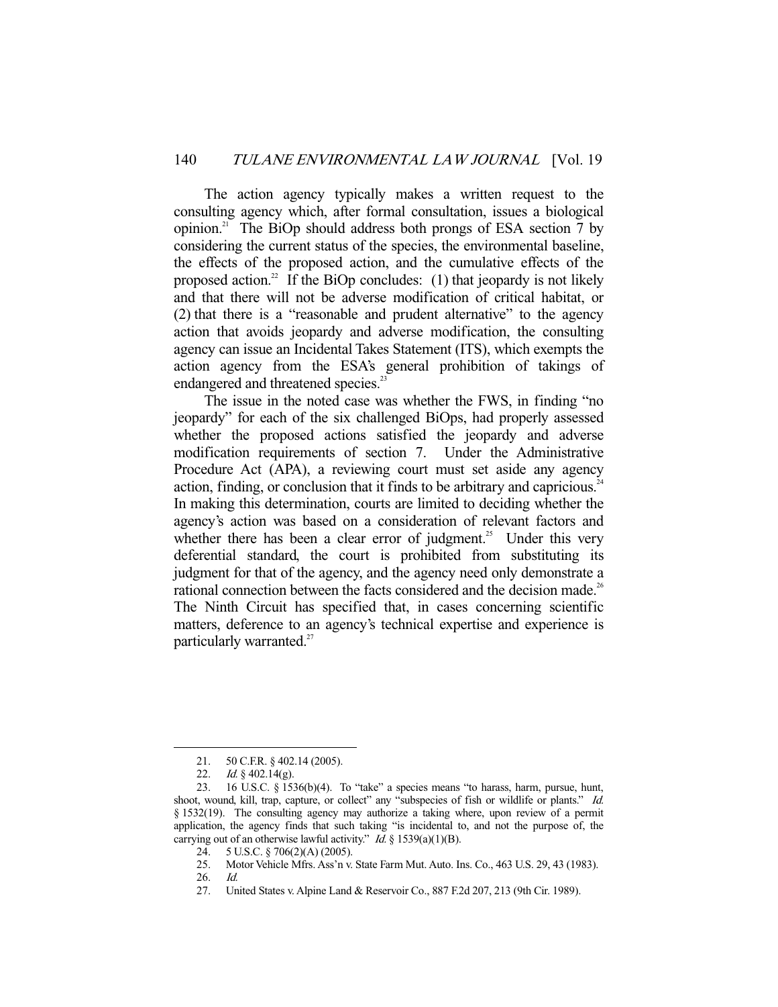The action agency typically makes a written request to the consulting agency which, after formal consultation, issues a biological opinion.<sup>21</sup> The BiOp should address both prongs of ESA section 7 by considering the current status of the species, the environmental baseline, the effects of the proposed action, and the cumulative effects of the proposed action.<sup>22</sup> If the BiOp concludes: (1) that jeopardy is not likely and that there will not be adverse modification of critical habitat, or (2) that there is a "reasonable and prudent alternative" to the agency action that avoids jeopardy and adverse modification, the consulting agency can issue an Incidental Takes Statement (ITS), which exempts the action agency from the ESA's general prohibition of takings of endangered and threatened species.<sup>23</sup>

 The issue in the noted case was whether the FWS, in finding "no jeopardy" for each of the six challenged BiOps, had properly assessed whether the proposed actions satisfied the jeopardy and adverse modification requirements of section 7. Under the Administrative Procedure Act (APA), a reviewing court must set aside any agency action, finding, or conclusion that it finds to be arbitrary and capricious.<sup>24</sup> In making this determination, courts are limited to deciding whether the agency's action was based on a consideration of relevant factors and whether there has been a clear error of judgment.<sup>25</sup> Under this very deferential standard, the court is prohibited from substituting its judgment for that of the agency, and the agency need only demonstrate a rational connection between the facts considered and the decision made.<sup>26</sup> The Ninth Circuit has specified that, in cases concerning scientific matters, deference to an agency's technical expertise and experience is particularly warranted.<sup>27</sup>

 <sup>21. 50</sup> C.F.R. § 402.14 (2005).

<sup>22.</sup> *Id.* § 402.14(g).

 <sup>23. 16</sup> U.S.C. § 1536(b)(4). To "take" a species means "to harass, harm, pursue, hunt, shoot, wound, kill, trap, capture, or collect" any "subspecies of fish or wildlife or plants." Id. § 1532(19). The consulting agency may authorize a taking where, upon review of a permit application, the agency finds that such taking "is incidental to, and not the purpose of, the carrying out of an otherwise lawful activity." *Id.* § 1539(a)(1)(B).

 <sup>24. 5</sup> U.S.C. § 706(2)(A) (2005).

 <sup>25.</sup> Motor Vehicle Mfrs. Ass'n v. State Farm Mut. Auto. Ins. Co., 463 U.S. 29, 43 (1983).

 <sup>26.</sup> Id.

 <sup>27.</sup> United States v. Alpine Land & Reservoir Co., 887 F.2d 207, 213 (9th Cir. 1989).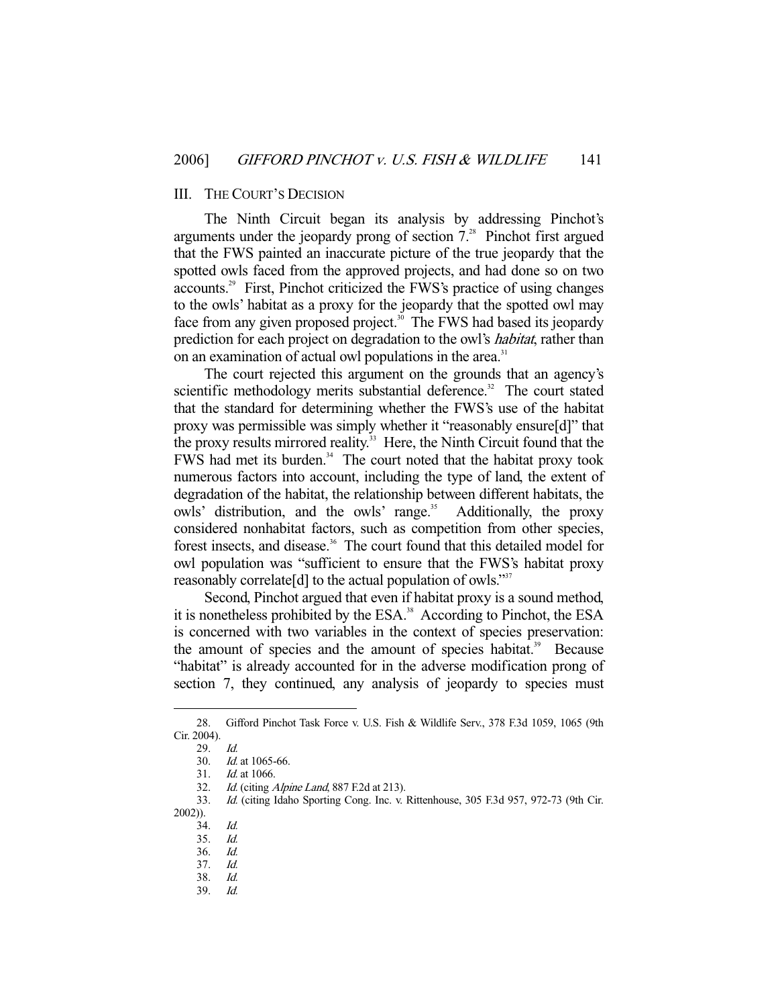### III. THE COURT'S DECISION

 The Ninth Circuit began its analysis by addressing Pinchot's arguments under the jeopardy prong of section 7.28 Pinchot first argued that the FWS painted an inaccurate picture of the true jeopardy that the spotted owls faced from the approved projects, and had done so on two accounts.29 First, Pinchot criticized the FWS's practice of using changes to the owls' habitat as a proxy for the jeopardy that the spotted owl may face from any given proposed project.<sup>30</sup> The FWS had based its jeopardy prediction for each project on degradation to the owl's *habitat*, rather than on an examination of actual owl populations in the area.<sup>31</sup>

 The court rejected this argument on the grounds that an agency's scientific methodology merits substantial deference.<sup>32</sup> The court stated that the standard for determining whether the FWS's use of the habitat proxy was permissible was simply whether it "reasonably ensure[d]" that the proxy results mirrored reality.<sup>33</sup> Here, the Ninth Circuit found that the FWS had met its burden.<sup>34</sup> The court noted that the habitat proxy took numerous factors into account, including the type of land, the extent of degradation of the habitat, the relationship between different habitats, the owls' distribution, and the owls' range.<sup>35</sup> Additionally, the proxy considered nonhabitat factors, such as competition from other species, forest insects, and disease.<sup>36</sup> The court found that this detailed model for owl population was "sufficient to ensure that the FWS's habitat proxy reasonably correlate<sup>[d]</sup> to the actual population of owls."<sup>37</sup>

 Second, Pinchot argued that even if habitat proxy is a sound method, it is nonetheless prohibited by the ESA.<sup>38</sup> According to Pinchot, the ESA is concerned with two variables in the context of species preservation: the amount of species and the amount of species habitat.<sup>39</sup> Because "habitat" is already accounted for in the adverse modification prong of section 7, they continued, any analysis of jeopardy to species must

-

35. Id.

 <sup>28.</sup> Gifford Pinchot Task Force v. U.S. Fish & Wildlife Serv., 378 F.3d 1059, 1065 (9th Cir. 2004).

 <sup>29.</sup> Id.

 <sup>30.</sup> Id. at 1065-66.

 <sup>31.</sup> Id. at 1066.

<sup>32.</sup> Id. (citing Alpine Land, 887 F.2d at 213).

 <sup>33.</sup> Id. (citing Idaho Sporting Cong. Inc. v. Rittenhouse, 305 F.3d 957, 972-73 (9th Cir. 2002)).

 <sup>34.</sup> Id.

 <sup>36.</sup> Id.

 <sup>37.</sup> Id.

 <sup>38.</sup> Id.

 <sup>39.</sup> Id.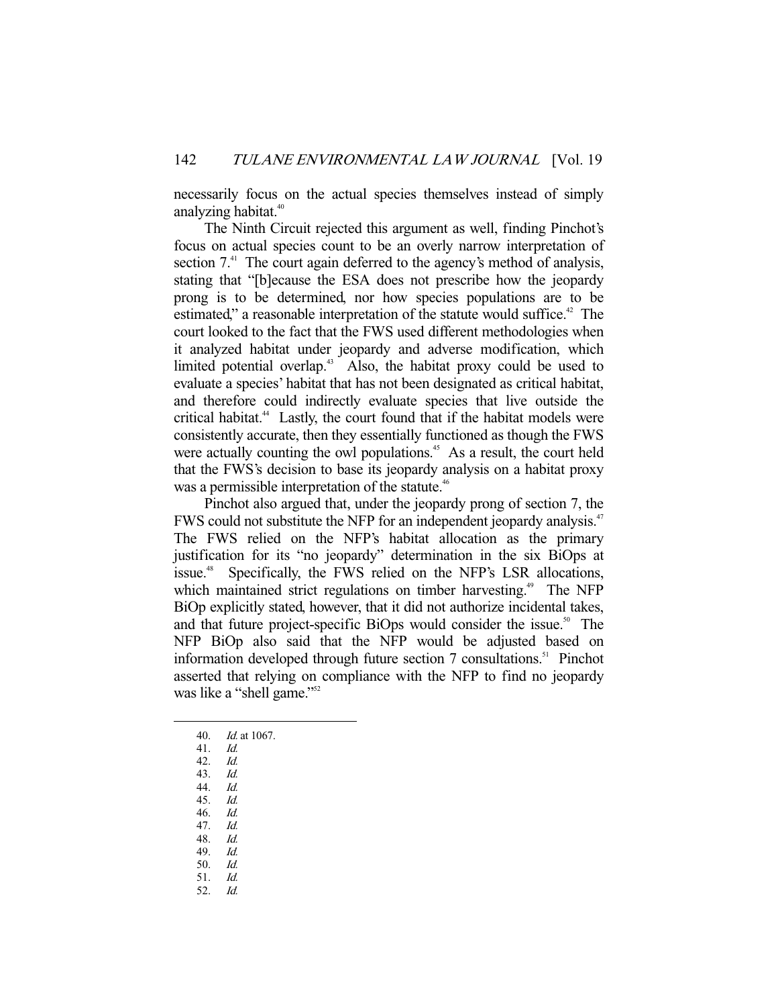necessarily focus on the actual species themselves instead of simply analyzing habitat.<sup>40</sup>

 The Ninth Circuit rejected this argument as well, finding Pinchot's focus on actual species count to be an overly narrow interpretation of section  $7<sup>41</sup>$ . The court again deferred to the agency's method of analysis, stating that "[b]ecause the ESA does not prescribe how the jeopardy prong is to be determined, nor how species populations are to be estimated," a reasonable interpretation of the statute would suffice.<sup>42</sup> The court looked to the fact that the FWS used different methodologies when it analyzed habitat under jeopardy and adverse modification, which limited potential overlap.<sup>43</sup> Also, the habitat proxy could be used to evaluate a species' habitat that has not been designated as critical habitat, and therefore could indirectly evaluate species that live outside the critical habitat.<sup>44</sup> Lastly, the court found that if the habitat models were consistently accurate, then they essentially functioned as though the FWS were actually counting the owl populations.<sup>45</sup> As a result, the court held that the FWS's decision to base its jeopardy analysis on a habitat proxy was a permissible interpretation of the statute.<sup>46</sup>

 Pinchot also argued that, under the jeopardy prong of section 7, the FWS could not substitute the NFP for an independent jeopardy analysis.<sup>47</sup> The FWS relied on the NFP's habitat allocation as the primary justification for its "no jeopardy" determination in the six BiOps at issue.<sup>48</sup> Specifically, the FWS relied on the NFP's LSR allocations, which maintained strict regulations on timber harvesting.<sup>49</sup> The NFP BiOp explicitly stated, however, that it did not authorize incidental takes, and that future project-specific BiOps would consider the issue.<sup>50</sup> The NFP BiOp also said that the NFP would be adjusted based on information developed through future section 7 consultations.<sup>51</sup> Pinchot asserted that relying on compliance with the NFP to find no jeopardy was like a "shell game."<sup>52</sup>

- 40. Id. at 1067.
- 41. Id.
- 42. Id.

- 43. Id.
- 44. Id.
- 45. Id.
- 46. Id.
- 47. Id.
- 48. Id. 49. Id.
- 50. Id.
- 51. Id.
- 52. Id.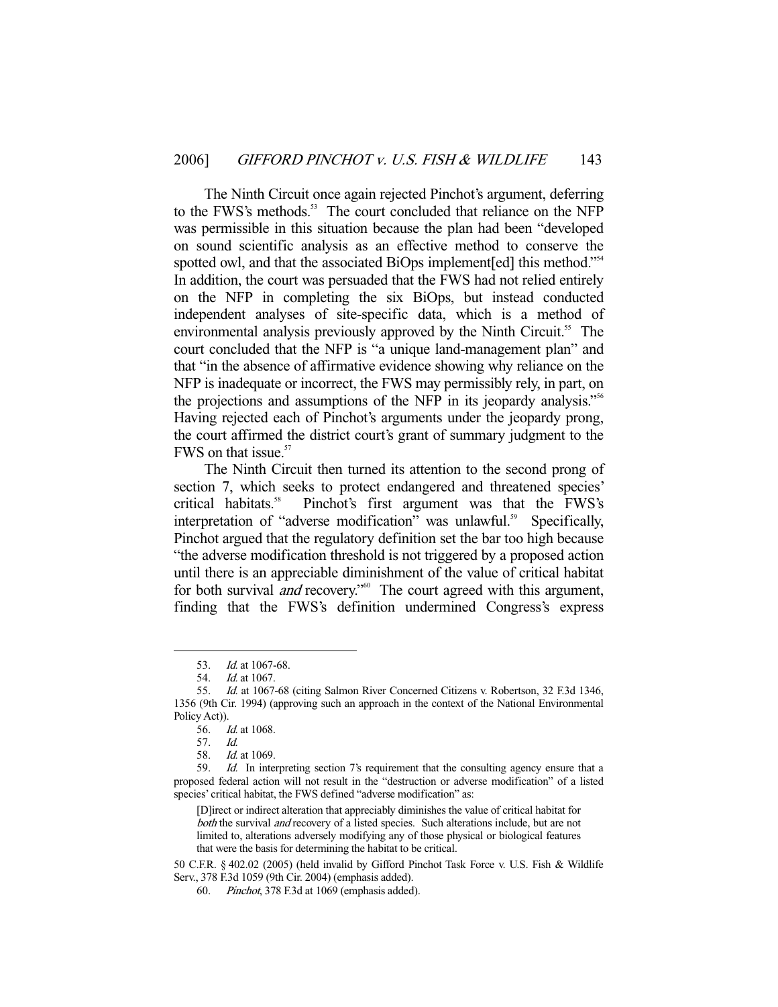The Ninth Circuit once again rejected Pinchot's argument, deferring to the FWS's methods.<sup>53</sup> The court concluded that reliance on the NFP was permissible in this situation because the plan had been "developed on sound scientific analysis as an effective method to conserve the spotted owl, and that the associated BiOps implement [ed] this method."<sup>54</sup> In addition, the court was persuaded that the FWS had not relied entirely on the NFP in completing the six BiOps, but instead conducted independent analyses of site-specific data, which is a method of environmental analysis previously approved by the Ninth Circuit.<sup>55</sup> The court concluded that the NFP is "a unique land-management plan" and that "in the absence of affirmative evidence showing why reliance on the NFP is inadequate or incorrect, the FWS may permissibly rely, in part, on the projections and assumptions of the NFP in its jeopardy analysis."56 Having rejected each of Pinchot's arguments under the jeopardy prong, the court affirmed the district court's grant of summary judgment to the FWS on that issue. $57$ 

 The Ninth Circuit then turned its attention to the second prong of section 7, which seeks to protect endangered and threatened species'<br>critical habitats.<sup>58</sup> Pinchot's first argument was that the FWS's Pinchot's first argument was that the FWS's interpretation of "adverse modification" was unlawful.<sup>59</sup> Specifically, Pinchot argued that the regulatory definition set the bar too high because "the adverse modification threshold is not triggered by a proposed action until there is an appreciable diminishment of the value of critical habitat for both survival *and* recovery."<sup>60</sup> The court agreed with this argument, finding that the FWS's definition undermined Congress's express

-

[D]irect or indirect alteration that appreciably diminishes the value of critical habitat for both the survival *and* recovery of a listed species. Such alterations include, but are not limited to, alterations adversely modifying any of those physical or biological features that were the basis for determining the habitat to be critical.

50 C.F.R. § 402.02 (2005) (held invalid by Gifford Pinchot Task Force v. U.S. Fish & Wildlife Serv., 378 F.3d 1059 (9th Cir. 2004) (emphasis added).

<sup>53.</sup> *Id.* at 1067-68.

<sup>54.</sup> *Id.* at 1067.

<sup>55.</sup> Id. at 1067-68 (citing Salmon River Concerned Citizens v. Robertson, 32 F.3d 1346, 1356 (9th Cir. 1994) (approving such an approach in the context of the National Environmental Policy Act)).

 <sup>56.</sup> Id. at 1068.

 <sup>57.</sup> Id.

 <sup>58.</sup> Id. at 1069.

<sup>59.</sup> *Id.* In interpreting section 7's requirement that the consulting agency ensure that a proposed federal action will not result in the "destruction or adverse modification" of a listed species' critical habitat, the FWS defined "adverse modification" as:

 <sup>60.</sup> Pinchot, 378 F.3d at 1069 (emphasis added).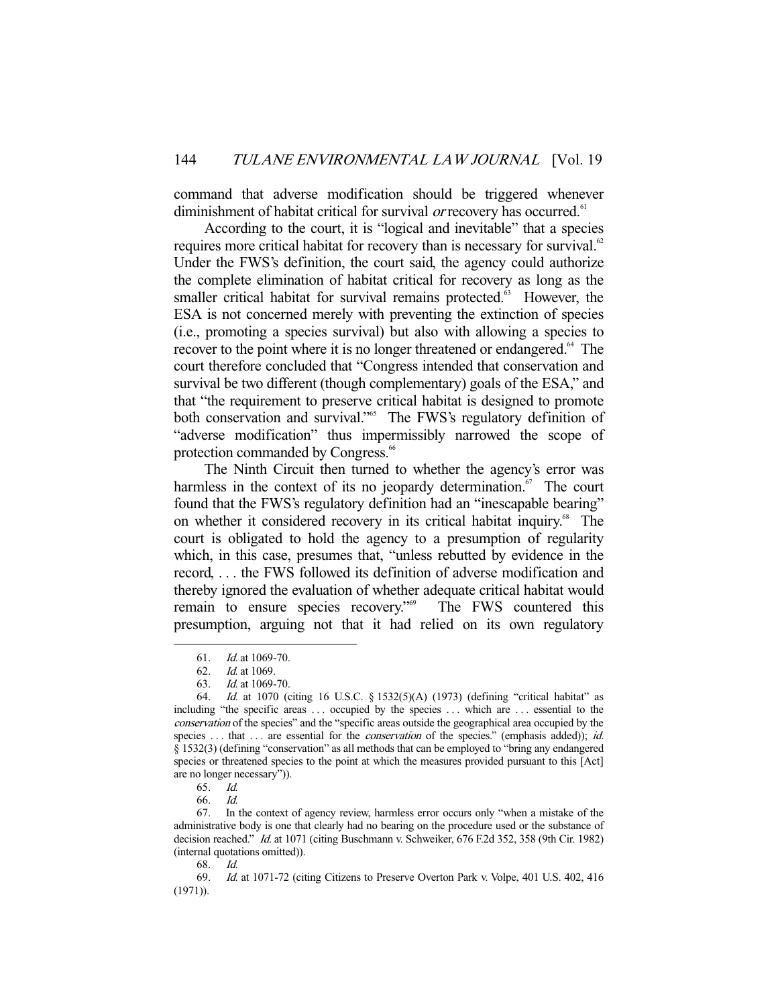command that adverse modification should be triggered whenever diminishment of habitat critical for survival *or* recovery has occurred.<sup>61</sup>

 According to the court, it is "logical and inevitable" that a species requires more critical habitat for recovery than is necessary for survival.<sup>62</sup> Under the FWS's definition, the court said, the agency could authorize the complete elimination of habitat critical for recovery as long as the smaller critical habitat for survival remains protected.<sup>63</sup> However, the ESA is not concerned merely with preventing the extinction of species (i.e., promoting a species survival) but also with allowing a species to recover to the point where it is no longer threatened or endangered.<sup>64</sup> The court therefore concluded that "Congress intended that conservation and survival be two different (though complementary) goals of the ESA," and that "the requirement to preserve critical habitat is designed to promote both conservation and survival."<sup>65</sup> The FWS's regulatory definition of "adverse modification" thus impermissibly narrowed the scope of protection commanded by Congress.<sup>66</sup>

 The Ninth Circuit then turned to whether the agency's error was harmless in the context of its no jeopardy determination. $\sigma$  The court found that the FWS's regulatory definition had an "inescapable bearing" on whether it considered recovery in its critical habitat inquiry.<sup>68</sup> The court is obligated to hold the agency to a presumption of regularity which, in this case, presumes that, "unless rebutted by evidence in the record, . . . the FWS followed its definition of adverse modification and thereby ignored the evaluation of whether adequate critical habitat would remain to ensure species recovery."<sup>69</sup> The FWS countered this presumption, arguing not that it had relied on its own regulatory

 <sup>61.</sup> Id. at 1069-70.

 <sup>62.</sup> Id. at 1069.

 <sup>63.</sup> Id. at 1069-70.

 <sup>64.</sup> Id. at 1070 (citing 16 U.S.C. § 1532(5)(A) (1973) (defining "critical habitat" as including "the specific areas . . . occupied by the species . . . which are . . . essential to the conservation of the species" and the "specific areas outside the geographical area occupied by the species . . . that . . . are essential for the *conservation* of the species." (emphasis added)); *id.* § 1532(3) (defining "conservation" as all methods that can be employed to "bring any endangered species or threatened species to the point at which the measures provided pursuant to this [Act] are no longer necessary")).

 <sup>65.</sup> Id.

 <sup>66.</sup> Id.

 <sup>67.</sup> In the context of agency review, harmless error occurs only "when a mistake of the administrative body is one that clearly had no bearing on the procedure used or the substance of decision reached." Id. at 1071 (citing Buschmann v. Schweiker, 676 F.2d 352, 358 (9th Cir. 1982) (internal quotations omitted)).

 <sup>68.</sup> Id.

 <sup>69.</sup> Id. at 1071-72 (citing Citizens to Preserve Overton Park v. Volpe, 401 U.S. 402, 416 (1971)).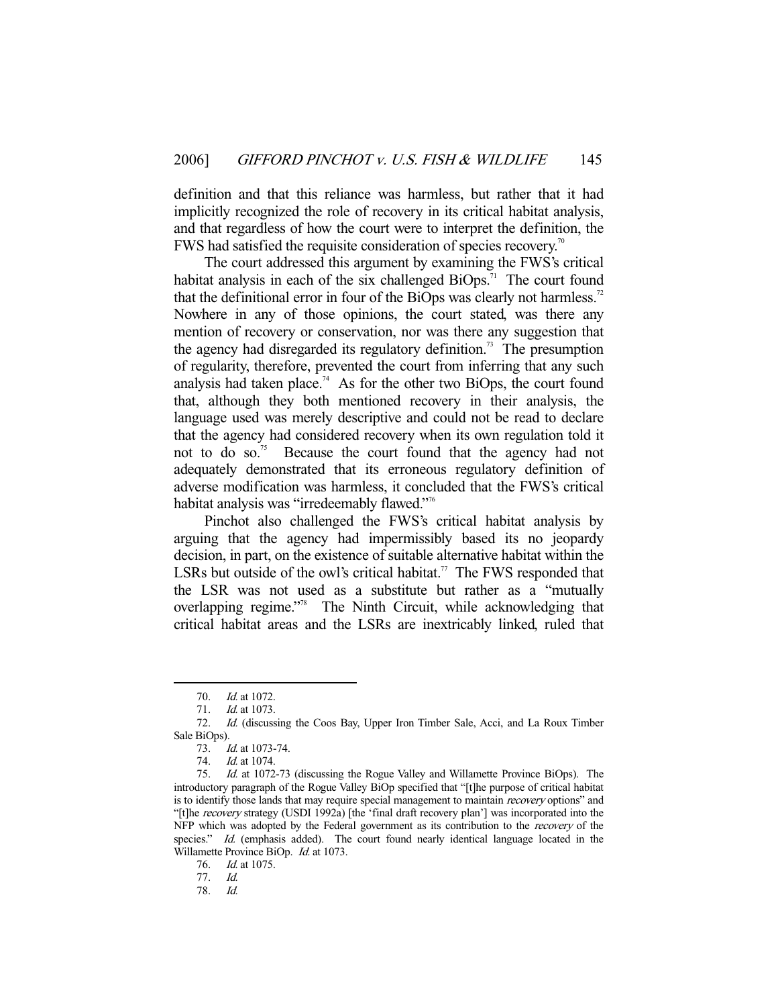definition and that this reliance was harmless, but rather that it had implicitly recognized the role of recovery in its critical habitat analysis, and that regardless of how the court were to interpret the definition, the FWS had satisfied the requisite consideration of species recovery.<sup>70</sup>

 The court addressed this argument by examining the FWS's critical habitat analysis in each of the six challenged  $\overline{B}$ iOps.<sup>71</sup> The court found that the definitional error in four of the BiOps was clearly not harmless.<sup>72</sup> Nowhere in any of those opinions, the court stated, was there any mention of recovery or conservation, nor was there any suggestion that the agency had disregarded its regulatory definition.<sup>73</sup> The presumption of regularity, therefore, prevented the court from inferring that any such analysis had taken place.<sup>74</sup> As for the other two BiOps, the court found that, although they both mentioned recovery in their analysis, the language used was merely descriptive and could not be read to declare that the agency had considered recovery when its own regulation told it not to do so.<sup>75</sup> Because the court found that the agency had not adequately demonstrated that its erroneous regulatory definition of adverse modification was harmless, it concluded that the FWS's critical habitat analysis was "irredeemably flawed."<sup>76</sup>

 Pinchot also challenged the FWS's critical habitat analysis by arguing that the agency had impermissibly based its no jeopardy decision, in part, on the existence of suitable alternative habitat within the LSRs but outside of the owl's critical habitat.<sup>77</sup> The FWS responded that the LSR was not used as a substitute but rather as a "mutually overlapping regime."78 The Ninth Circuit, while acknowledging that critical habitat areas and the LSRs are inextricably linked, ruled that

<sup>70.</sup> *Id.* at 1072.

 <sup>71.</sup> Id. at 1073.

 <sup>72.</sup> Id. (discussing the Coos Bay, Upper Iron Timber Sale, Acci, and La Roux Timber Sale BiOps).

 <sup>73.</sup> Id. at 1073-74.

 <sup>74.</sup> Id. at 1074.

 <sup>75.</sup> Id. at 1072-73 (discussing the Rogue Valley and Willamette Province BiOps). The introductory paragraph of the Rogue Valley BiOp specified that "[t]he purpose of critical habitat is to identify those lands that may require special management to maintain recovery options" and "[t]he recovery strategy (USDI 1992a) [the 'final draft recovery plan'] was incorporated into the NFP which was adopted by the Federal government as its contribution to the *recovery* of the species." Id. (emphasis added). The court found nearly identical language located in the Willamette Province BiOp. Id. at 1073.

 <sup>76.</sup> Id. at 1075.

<sup>77.</sup> *Id.*<br>78. *Id.* 

 $Id.$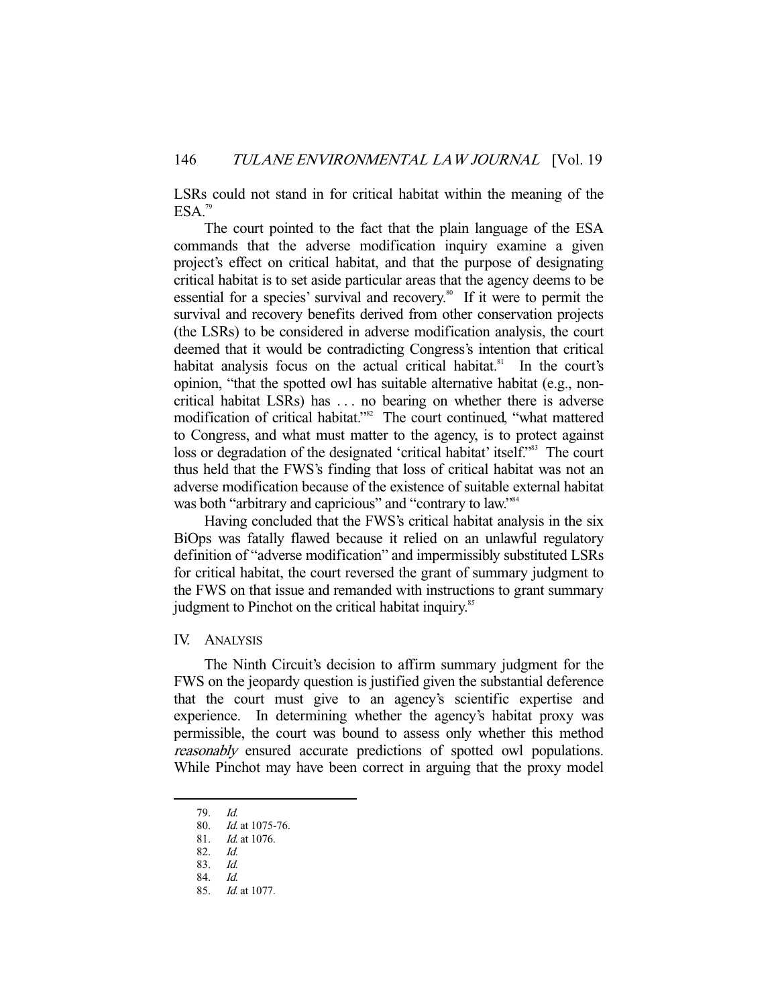LSRs could not stand in for critical habitat within the meaning of the  $ESA.<sup>79</sup>$ 

 The court pointed to the fact that the plain language of the ESA commands that the adverse modification inquiry examine a given project's effect on critical habitat, and that the purpose of designating critical habitat is to set aside particular areas that the agency deems to be essential for a species' survival and recovery.<sup>80</sup> If it were to permit the survival and recovery benefits derived from other conservation projects (the LSRs) to be considered in adverse modification analysis, the court deemed that it would be contradicting Congress's intention that critical habitat analysis focus on the actual critical habitat.<sup>81</sup> In the court's opinion, "that the spotted owl has suitable alternative habitat (e.g., noncritical habitat LSRs) has . . . no bearing on whether there is adverse modification of critical habitat."<sup>82</sup> The court continued, "what mattered to Congress, and what must matter to the agency, is to protect against loss or degradation of the designated 'critical habitat' itself."<sup>83</sup> The court thus held that the FWS's finding that loss of critical habitat was not an adverse modification because of the existence of suitable external habitat was both "arbitrary and capricious" and "contrary to law."<sup>84</sup>

 Having concluded that the FWS's critical habitat analysis in the six BiOps was fatally flawed because it relied on an unlawful regulatory definition of "adverse modification" and impermissibly substituted LSRs for critical habitat, the court reversed the grant of summary judgment to the FWS on that issue and remanded with instructions to grant summary judgment to Pinchot on the critical habitat inquiry.<sup>85</sup>

# IV. ANALYSIS

 The Ninth Circuit's decision to affirm summary judgment for the FWS on the jeopardy question is justified given the substantial deference that the court must give to an agency's scientific expertise and experience. In determining whether the agency's habitat proxy was permissible, the court was bound to assess only whether this method reasonably ensured accurate predictions of spotted owl populations. While Pinchot may have been correct in arguing that the proxy model

 <sup>79.</sup> Id.

<sup>80.</sup> *Id.* at 1075-76.

<sup>81.</sup> *Id.* at 1076.

 <sup>82.</sup> Id.

 <sup>83.</sup> Id.

 <sup>84.</sup> Id.

<sup>85.</sup> *Id.* at 1077.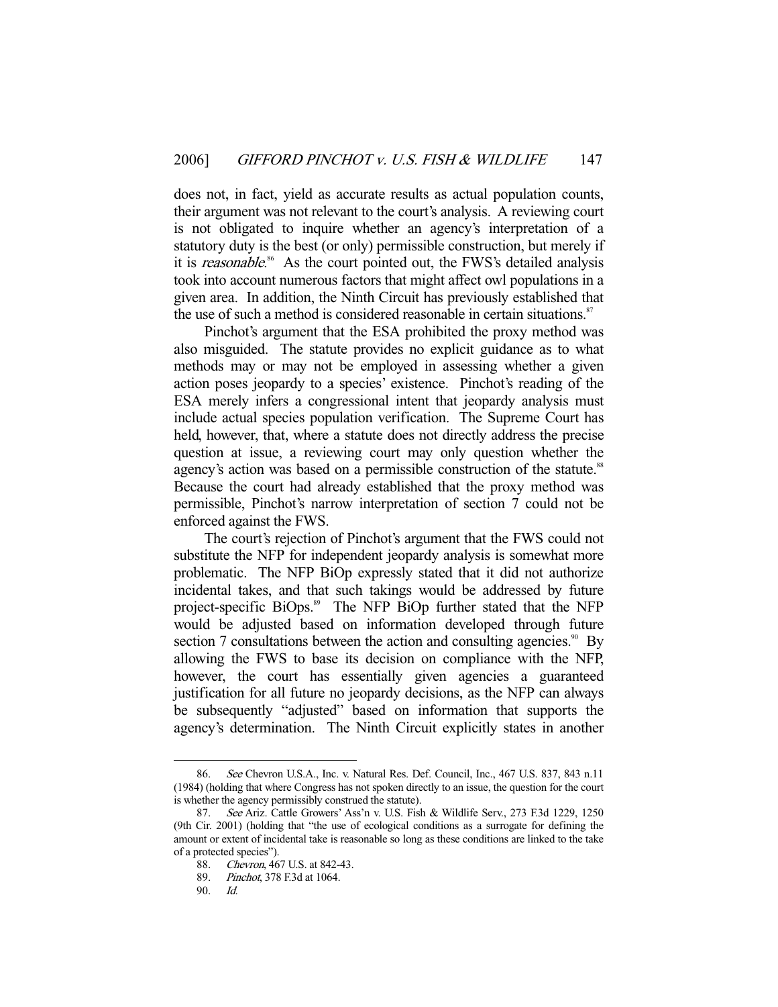does not, in fact, yield as accurate results as actual population counts, their argument was not relevant to the court's analysis. A reviewing court is not obligated to inquire whether an agency's interpretation of a statutory duty is the best (or only) permissible construction, but merely if it is reasonable.<sup>86</sup> As the court pointed out, the FWS's detailed analysis took into account numerous factors that might affect owl populations in a given area. In addition, the Ninth Circuit has previously established that the use of such a method is considered reasonable in certain situations.<sup>87</sup>

 Pinchot's argument that the ESA prohibited the proxy method was also misguided. The statute provides no explicit guidance as to what methods may or may not be employed in assessing whether a given action poses jeopardy to a species' existence. Pinchot's reading of the ESA merely infers a congressional intent that jeopardy analysis must include actual species population verification. The Supreme Court has held, however, that, where a statute does not directly address the precise question at issue, a reviewing court may only question whether the agency's action was based on a permissible construction of the statute.<sup>88</sup> Because the court had already established that the proxy method was permissible, Pinchot's narrow interpretation of section 7 could not be enforced against the FWS.

 The court's rejection of Pinchot's argument that the FWS could not substitute the NFP for independent jeopardy analysis is somewhat more problematic. The NFP BiOp expressly stated that it did not authorize incidental takes, and that such takings would be addressed by future project-specific BiOps.<sup>89</sup> The NFP BiOp further stated that the NFP would be adjusted based on information developed through future section 7 consultations between the action and consulting agencies.<sup>90</sup> By allowing the FWS to base its decision on compliance with the NFP, however, the court has essentially given agencies a guaranteed justification for all future no jeopardy decisions, as the NFP can always be subsequently "adjusted" based on information that supports the agency's determination. The Ninth Circuit explicitly states in another

<sup>86.</sup> See Chevron U.S.A., Inc. v. Natural Res. Def. Council, Inc., 467 U.S. 837, 843 n.11 (1984) (holding that where Congress has not spoken directly to an issue, the question for the court is whether the agency permissibly construed the statute).

 <sup>87.</sup> See Ariz. Cattle Growers' Ass'n v. U.S. Fish & Wildlife Serv., 273 F.3d 1229, 1250 (9th Cir. 2001) (holding that "the use of ecological conditions as a surrogate for defining the amount or extent of incidental take is reasonable so long as these conditions are linked to the take of a protected species").

 <sup>88.</sup> Chevron, 467 U.S. at 842-43.

 <sup>89.</sup> Pinchot, 378 F.3d at 1064.

 <sup>90.</sup> Id.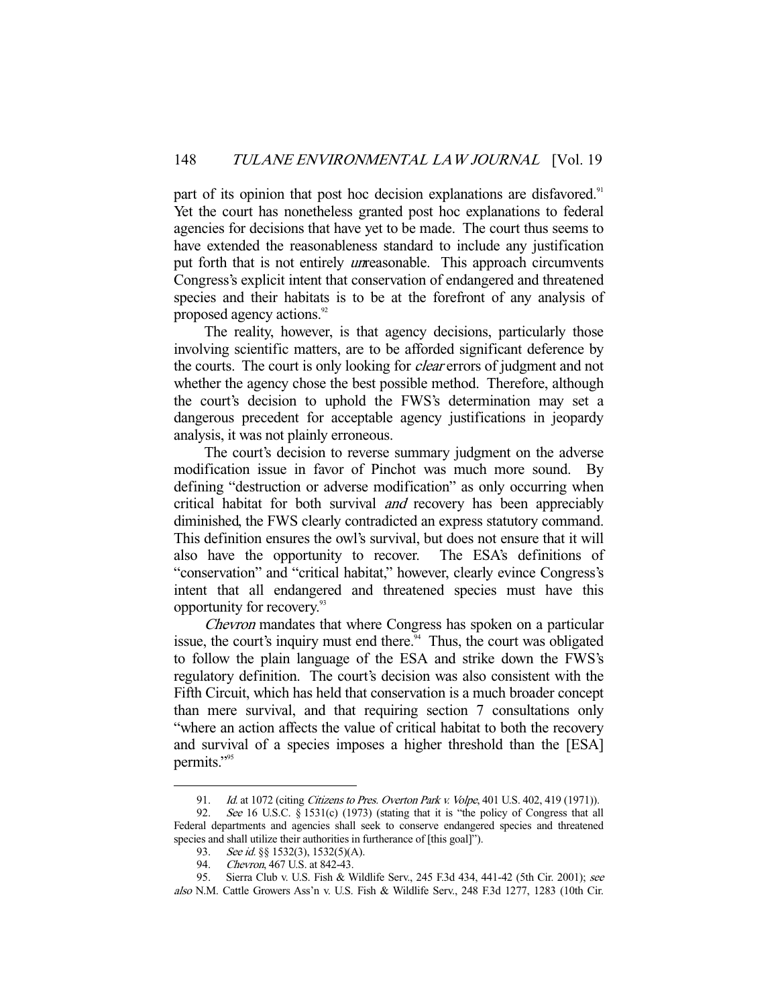part of its opinion that post hoc decision explanations are disfavored.<sup>91</sup> Yet the court has nonetheless granted post hoc explanations to federal agencies for decisions that have yet to be made. The court thus seems to have extended the reasonableness standard to include any justification put forth that is not entirely *un*reasonable. This approach circumvents Congress's explicit intent that conservation of endangered and threatened species and their habitats is to be at the forefront of any analysis of proposed agency actions.<sup>92</sup>

 The reality, however, is that agency decisions, particularly those involving scientific matters, are to be afforded significant deference by the courts. The court is only looking for *clear* errors of judgment and not whether the agency chose the best possible method. Therefore, although the court's decision to uphold the FWS's determination may set a dangerous precedent for acceptable agency justifications in jeopardy analysis, it was not plainly erroneous.

 The court's decision to reverse summary judgment on the adverse modification issue in favor of Pinchot was much more sound. By defining "destruction or adverse modification" as only occurring when critical habitat for both survival and recovery has been appreciably diminished, the FWS clearly contradicted an express statutory command. This definition ensures the owl's survival, but does not ensure that it will also have the opportunity to recover. The ESA's definitions of "conservation" and "critical habitat," however, clearly evince Congress's intent that all endangered and threatened species must have this opportunity for recovery.93

Chevron mandates that where Congress has spoken on a particular issue, the court's inquiry must end there. $94$  Thus, the court was obligated to follow the plain language of the ESA and strike down the FWS's regulatory definition. The court's decision was also consistent with the Fifth Circuit, which has held that conservation is a much broader concept than mere survival, and that requiring section 7 consultations only "where an action affects the value of critical habitat to both the recovery and survival of a species imposes a higher threshold than the [ESA] permits."95

<sup>91.</sup> *Id.* at 1072 (citing *Citizens to Pres. Overton Park v. Volpe*, 401 U.S. 402, 419 (1971)).

<sup>92.</sup> See 16 U.S.C. § 1531(c) (1973) (stating that it is "the policy of Congress that all Federal departments and agencies shall seek to conserve endangered species and threatened species and shall utilize their authorities in furtherance of [this goal]").

<sup>93.</sup> See id. §§ 1532(3), 1532(5)(A).

 <sup>94.</sup> Chevron, 467 U.S. at 842-43.

 <sup>95.</sup> Sierra Club v. U.S. Fish & Wildlife Serv., 245 F.3d 434, 441-42 (5th Cir. 2001); see also N.M. Cattle Growers Ass'n v. U.S. Fish & Wildlife Serv., 248 F.3d 1277, 1283 (10th Cir.